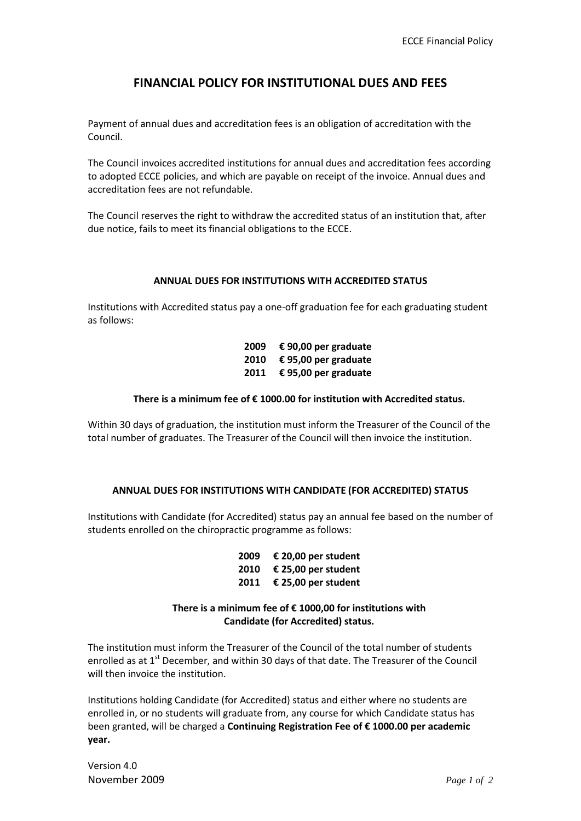# **FINANCIAL POLICY FOR INSTITUTIONAL DUES AND FEES**

Payment of annual dues and accreditation fees is an obligation of accreditation with the Council.

The Council invoices accredited institutions for annual dues and accreditation fees according to adopted ECCE policies, and which are payable on receipt of the invoice. Annual dues and accreditation fees are not refundable.

The Council reserves the right to withdraw the accredited status of an institution that, after due notice, fails to meet its financial obligations to the ECCE.

#### **ANNUAL DUES FOR INSTITUTIONS WITH ACCREDITED STATUS**

Institutions with Accredited status pay a one-off graduation fee for each graduating student as follows:

> **2009 € 90,00 per graduate 2010 € 95,00 per graduate 2011 € 95,00 per graduate**

### **There is a minimum fee of € 1000.00 for institution with Accredited status.**

Within 30 days of graduation, the institution must inform the Treasurer of the Council of the total number of graduates. The Treasurer of the Council will then invoice the institution.

### **ANNUAL DUES FOR INSTITUTIONS WITH CANDIDATE (FOR ACCREDITED) STATUS**

Institutions with Candidate (for Accredited) status pay an annual fee based on the number of students enrolled on the chiropractic programme as follows:

> **2009 € 20,00 per student 2010 € 25,00 per student 2011 € 25,00 per student**

## **There is a minimum fee of € 1000,00 for institutions with Candidate (for Accredited) status.**

The institution must inform the Treasurer of the Council of the total number of students enrolled as at  $1<sup>st</sup>$  December, and within 30 days of that date. The Treasurer of the Council will then invoice the institution.

Institutions holding Candidate (for Accredited) status and either where no students are enrolled in, or no students will graduate from, any course for which Candidate status has been granted, will be charged a **Continuing Registration Fee of € 1000.00 per academic year.**

Version 4.0 November 2009 *Page 1 of 2*